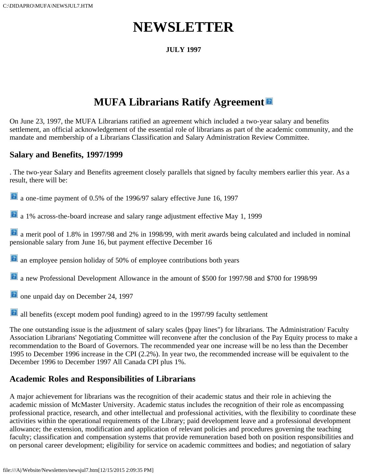# **NEWSLETTER**

### **JULY 1997**

## **MUFA Librarians Ratify Agreement**

On June 23, 1997, the MUFA Librarians ratified an agreement which included a two-year salary and benefits settlement, an official acknowledgement of the essential role of librarians as part of the academic community, and the mandate and membership of a Librarians Classification and Salary Administration Review Committee.

## **Salary and Benefits, 1997/1999**

. The two-year Salary and Benefits agreement closely parallels that signed by faculty members earlier this year. As a result, there will be:

a one-time payment of 0.5% of the 1996/97 salary effective June 16, 1997

**a** 1% across-the-board increase and salary range adjustment effective May 1, 1999

 a merit pool of 1.8% in 1997/98 and 2% in 1998/99, with merit awards being calculated and included in nominal pensionable salary from June 16, but payment effective December 16

**a** an employee pension holiday of 50% of employee contributions both years

a new Professional Development Allowance in the amount of \$500 for 1997/98 and \$700 for 1998/99

**a** one unpaid day on December 24, 1997

all benefits (except modem pool funding) agreed to in the 1997/99 faculty settlement

The one outstanding issue is the adjustment of salary scales (þpay lines") for librarians. The Administration/ Faculty Association Librarians' Negotiating Committee will reconvene after the conclusion of the Pay Equity process to make a recommendation to the Board of Governors. The recommended year one increase will be no less than the December 1995 to December 1996 increase in the CPI (2.2%). In year two, the recommended increase will be equivalent to the December 1996 to December 1997 All Canada CPI plus 1%.

## **Academic Roles and Responsibilities of Librarians**

A major achievement for librarians was the recognition of their academic status and their role in achieving the academic mission of McMaster University. Academic status includes the recognition of their role as encompassing professional practice, research, and other intellectual and professional activities, with the flexibility to coordinate these activities within the operational requirements of the Library; paid development leave and a professional development allowance; the extension, modification and application of relevant policies and procedures governing the teaching faculty; classification and compensation systems that provide remuneration based both on position responsibilities and on personal career development; eligibility for service on academic committees and bodies; and negotiation of salary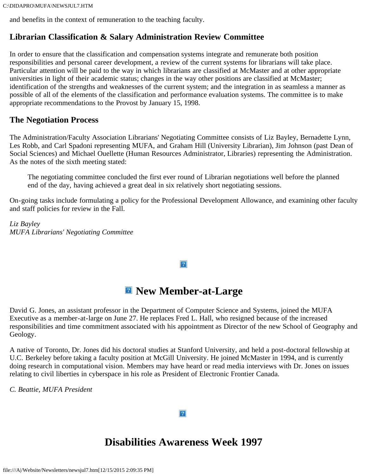and benefits in the context of remuneration to the teaching faculty.

## **Librarian Classification & Salary Administration Review Committee**

In order to ensure that the classification and compensation systems integrate and remunerate both position responsibilities and personal career development, a review of the current systems for librarians will take place. Particular attention will be paid to the way in which librarians are classified at McMaster and at other appropriate universities in light of their academic status; changes in the way other positions are classified at McMaster; identification of the strengths and weaknesses of the current system; and the integration in as seamless a manner as possible of all of the elements of the classification and performance evaluation systems. The committee is to make appropriate recommendations to the Provost by January 15, 1998.

## **The Negotiation Process**

The Administration/Faculty Association Librarians' Negotiating Committee consists of Liz Bayley, Bernadette Lynn, Les Robb, and Carl Spadoni representing MUFA, and Graham Hill (University Librarian), Jim Johnson (past Dean of Social Sciences) and Michael Ouellette (Human Resources Administrator, Libraries) representing the Administration. As the notes of the sixth meeting stated:

The negotiating committee concluded the first ever round of Librarian negotiations well before the planned end of the day, having achieved a great deal in six relatively short negotiating sessions.

On-going tasks include formulating a policy for the Professional Development Allowance, and examining other faculty and staff policies for review in the Fall.

*Liz Bayley MUFA Librarians' Negotiating Committee*

#### $\overline{?}$

## $\blacksquare$  New Member-at-Large

David G. Jones, an assistant professor in the Department of Computer Science and Systems, joined the MUFA Executive as a member-at-large on June 27. He replaces Fred L. Hall, who resigned because of the increased responsibilities and time commitment associated with his appointment as Director of the new School of Geography and Geology.

A native of Toronto, Dr. Jones did his doctoral studies at Stanford University, and held a post-doctoral fellowship at U.C. Berkeley before taking a faculty position at McGill University. He joined McMaster in 1994, and is currently doing research in computational vision. Members may have heard or read media interviews with Dr. Jones on issues relating to civil liberties in cyberspace in his role as President of Electronic Frontier Canada.

*C. Beattie, MUFA President*

## **Disabilities Awareness Week 1997**

 $|2|$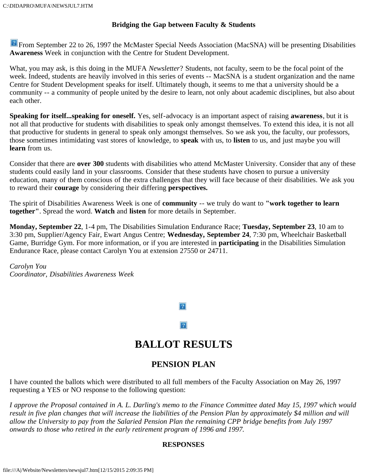#### **Bridging the Gap between Faculty & Students**

**P** From September 22 to 26, 1997 the McMaster Special Needs Association (MacSNA) will be presenting Disabilities **Awareness** Week in conjunction with the Centre for Student Development.

What, you may ask, is this doing in the MUFA *Newsletter*? Students, not faculty, seem to be the focal point of the week. Indeed, students are heavily involved in this series of events -- MacSNA is a student organization and the name Centre for Student Development speaks for itself. Ultimately though, it seems to me that a university should be a community -- a community of people united by the desire to learn, not only about academic disciplines, but also about each other.

**Speaking for itself...speaking for oneself.** Yes, self-advocacy is an important aspect of raising **awareness**, but it is not all that productive for students with disabilities to speak only amongst themselves. To extend this idea, it is not all that productive for students in general to speak only amongst themselves. So we ask you, the faculty, our professors, those sometimes intimidating vast stores of knowledge, to **speak** with us, to **listen** to us, and just maybe you will **learn** from us.

Consider that there are **over 300** students with disabilities who attend McMaster University. Consider that any of these students could easily land in your classrooms. Consider that these students have chosen to pursue a university education, many of them conscious of the extra challenges that they will face because of their disabilities. We ask you to reward their **courage** by considering their differing **perspectives.**

The spirit of Disabilities Awareness Week is one of **community** -- we truly do want to **"work together to learn together"**. Spread the word. **Watch** and **listen** for more details in September.

**Monday, September 22**, 1-4 pm, The Disabilities Simulation Endurance Race; **Tuesday, September 23**, 10 am to 3:30 pm, Supplier/Agency Fair, Ewart Angus Centre; **Wednesday, September 24**, 7:30 pm, Wheelchair Basketball Game, Burridge Gym. For more information, or if you are interested in **participating** in the Disabilities Simulation Endurance Race, please contact Carolyn You at extension 27550 or 24711.

*Carolyn You Coordinator, Disabilities Awareness Week*

 $\overline{?}$ 

 $|2|$ 

## **BALLOT RESULTS**

## **PENSION PLAN**

I have counted the ballots which were distributed to all full members of the Faculty Association on May 26, 1997 requesting a YES or NO response to the following question:

*I approve the Proposal contained in A. L. Darling's memo to the Finance Committee dated May 15, 1997 which would result in five plan changes that will increase the liabilities of the Pension Plan by approximately \$4 million and will allow the University to pay from the Salaried Pension Plan the remaining CPP bridge benefits from July 1997 onwards to those who retired in the early retirement program of 1996 and 1997.*

#### **RESPONSES**